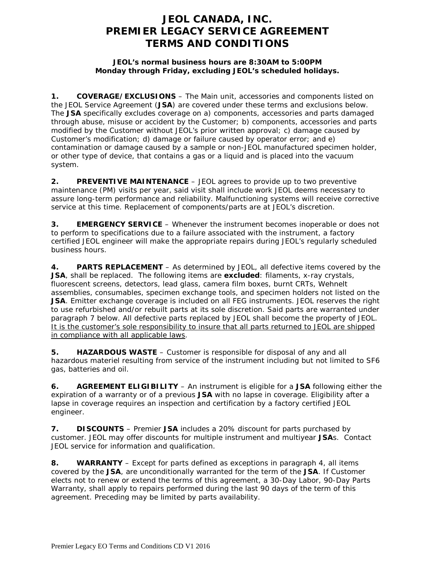# **JEOL CANADA, INC. PREMIER LEGACY SERVICE AGREEMENT TERMS AND CONDITIONS**

### **JEOL's normal business hours are 8:30AM to 5:00PM Monday through Friday, excluding JEOL's scheduled holidays.**

**1. COVERAGE/EXCLUSIONS** – The Main unit, accessories and components listed on the JEOL Service Agreement (**JSA**) are covered under these terms and exclusions below. The **JSA** specifically excludes coverage on a) components, accessories and parts damaged through abuse, misuse or accident by the Customer; b) components, accessories and parts modified by the Customer without JEOL's prior written approval; c) damage caused by Customer's modification; d) damage or failure caused by operator error; and e) contamination or damage caused by a sample or non-JEOL manufactured specimen holder, or other type of device, that contains a gas or a liquid and is placed into the vacuum system.

**2. PREVENTIVE MAINTENANCE** – JEOL agrees to provide up to two preventive maintenance (PM) visits per year, said visit shall include work JEOL deems necessary to assure long-term performance and reliability. Malfunctioning systems will receive corrective service at this time. Replacement of components/parts are at JEOL's discretion.

**3. EMERGENCY SERVICE** – Whenever the instrument becomes inoperable or does not to perform to specifications due to a failure associated with the instrument, a factory certified JEOL engineer will make the appropriate repairs during JEOL's regularly scheduled business hours.

**4. PARTS REPLACEMENT** – As determined by JEOL, all defective items covered by the **JSA**, shall be replaced. The following items are **excluded**: filaments, x-ray crystals, fluorescent screens, detectors, lead glass, camera film boxes, burnt CRTs, Wehnelt assemblies, consumables, specimen exchange tools, and specimen holders not listed on the **JSA**. Emitter exchange coverage is included on all FEG instruments. JEOL reserves the right to use refurbished and/or rebuilt parts at its sole discretion. Said parts are warranted under paragraph 7 below. All defective parts replaced by JEOL shall become the property of JEOL. It is the customer's sole responsibility to insure that all parts returned to JEOL are shipped in compliance with all applicable laws.

**5. HAZARDOUS WASTE** – Customer is responsible for disposal of any and all hazardous materiel resulting from service of the instrument including but not limited to SF6 gas, batteries and oil.

**6. AGREEMENT ELIGIBILITY** – An instrument is eligible for a **JSA** following either the expiration of a warranty or of a previous **JSA** with no lapse in coverage. Eligibility after a lapse in coverage requires an inspection and certification by a factory certified JEOL engineer.

**7. DISCOUNTS** – Premier **JSA** includes a 20% discount for parts purchased by customer. JEOL may offer discounts for multiple instrument and multiyear **JSA**s. Contact JEOL service for information and qualification.

**8. WARRANTY** – Except for parts defined as exceptions in paragraph 4, all items covered by the **JSA**, are unconditionally warranted for the term of the **JSA**. If Customer elects not to renew or extend the terms of this agreement, a 30-Day Labor, 90-Day Parts Warranty, shall apply to repairs performed during the last 90 days of the term of this agreement. Preceding may be limited by parts availability.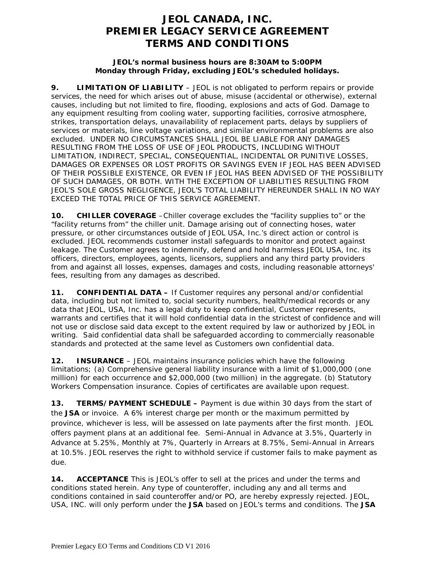# **JEOL CANADA, INC. PREMIER LEGACY SERVICE AGREEMENT TERMS AND CONDITIONS**

#### **JEOL's normal business hours are 8:30AM to 5:00PM Monday through Friday, excluding JEOL's scheduled holidays.**

**9. LIMITATION OF LIABILITY** – JEOL is not obligated to perform repairs or provide services, the need for which arises out of abuse, misuse (accidental or otherwise), external causes, including but not limited to fire, flooding, explosions and acts of God. Damage to any equipment resulting from cooling water, supporting facilities, corrosive atmosphere, strikes, transportation delays, unavailability of replacement parts, delays by suppliers of services or materials, line voltage variations, and similar environmental problems are also excluded. UNDER NO CIRCUMSTANCES SHALL JEOL BE LIABLE FOR ANY DAMAGES RESULTING FROM THE LOSS OF USE OF JEOL PRODUCTS, INCLUDING WITHOUT LIMITATION, INDIRECT, SPECIAL, CONSEQUENTIAL, INCIDENTAL OR PUNITIVE LOSSES, DAMAGES OR EXPENSES OR LOST PROFITS OR SAVINGS EVEN IF JEOL HAS BEEN ADVISED OF THEIR POSSIBLE EXISTENCE, OR EVEN IF JEOL HAS BEEN ADVISED OF THE POSSIBILITY OF SUCH DAMAGES, OR BOTH. WITH THE EXCEPTION OF LIABILITIES RESULTING FROM JEOL'S SOLE GROSS NEGLIGENCE, JEOL'S TOTAL LIABILITY HEREUNDER SHALL IN NO WAY EXCEED THE TOTAL PRICE OF THIS SERVICE AGREEMENT.

**10. CHILLER COVERAGE** –Chiller coverage excludes the "facility supplies to" or the "facility returns from" the chiller unit. Damage arising out of connecting hoses, water pressure, or other circumstances outside of JEOL USA, Inc.'s direct action or control is excluded. JEOL recommends customer install safeguards to monitor and protect against leakage. The Customer agrees to indemnify, defend and hold harmless JEOL USA, Inc. its officers, directors, employees, agents, licensors, suppliers and any third party providers from and against all losses, expenses, damages and costs, including reasonable attorneys' fees, resulting from any damages as described.

**11. CONFIDENTIAL DATA –** If Customer requires any personal and/or confidential data, including but not limited to, social security numbers, health/medical records or any data that JEOL, USA, Inc. has a legal duty to keep confidential, Customer represents, warrants and certifies that it will hold confidential data in the strictest of confidence and will not use or disclose said data except to the extent required by law or authorized by JEOL in writing. Said confidential data shall be safeguarded according to commercially reasonable standards and protected at the same level as Customers own confidential data.

**12. INSURANCE** – JEOL maintains insurance policies which have the following limitations; (a) Comprehensive general liability insurance with a limit of \$1,000,000 (one million) for each occurrence and \$2,000,000 (two million) in the aggregate. (b) Statutory Workers Compensation insurance. Copies of certificates are available upon request.

**13. TERMS/PAYMENT SCHEDULE –** Payment is due within 30 days from the start of the **JSA** or invoice. A 6% interest charge per month or the maximum permitted by province, whichever is less, will be assessed on late payments after the first month. JEOL offers payment plans at an additional fee. Semi-Annual in Advance at 3.5%, Quarterly in Advance at 5.25%, Monthly at 7%, Quarterly in Arrears at 8.75%, Semi-Annual in Arrears at 10.5%. JEOL reserves the right to withhold service if customer fails to make payment as due.

**14. ACCEPTANCE** This is JEOL's offer to sell at the prices and under the terms and conditions stated herein. Any type of counteroffer, including any and all terms and conditions contained in said counteroffer and/or PO, are hereby expressly rejected. JEOL, USA, INC. will only perform under the **JSA** based on JEOL's terms and conditions. The **JSA**